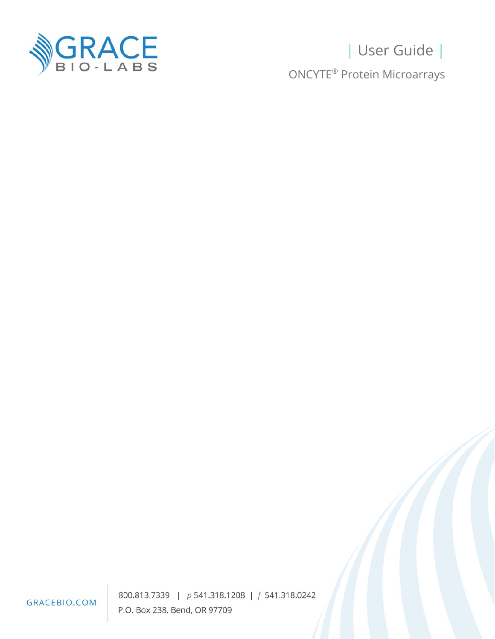

# | User Guide | ONCYTE® Protein Microarrays

GRACEBIO.COM

800.813.7339 | p 541.318.1208 | f 541.318.0242 P.O. Box 238, Bend, OR 97709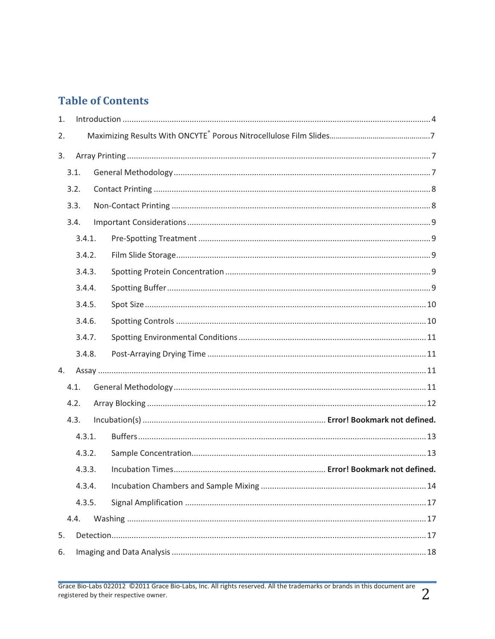# **Table of Contents**

| 1.     |        |  |  |  |
|--------|--------|--|--|--|
| 2.     |        |  |  |  |
| 3.     |        |  |  |  |
|        | 3.1.   |  |  |  |
|        | 3.2.   |  |  |  |
|        | 3.3.   |  |  |  |
|        | 3.4.   |  |  |  |
|        | 3.4.1. |  |  |  |
|        | 3.4.2. |  |  |  |
|        | 3.4.3. |  |  |  |
|        | 3.4.4. |  |  |  |
|        | 3.4.5. |  |  |  |
|        | 3.4.6. |  |  |  |
|        | 3.4.7. |  |  |  |
|        | 3.4.8. |  |  |  |
| 4.     |        |  |  |  |
|        | 4.1.   |  |  |  |
| 4.2.   |        |  |  |  |
|        | 4.3.   |  |  |  |
|        | 4.3.1. |  |  |  |
| 4.3.2. |        |  |  |  |
|        | 4.3.3. |  |  |  |
|        | 4.3.4. |  |  |  |
|        | 4.3.5. |  |  |  |
|        | 4.4.   |  |  |  |
| 5.     |        |  |  |  |
| 6.     |        |  |  |  |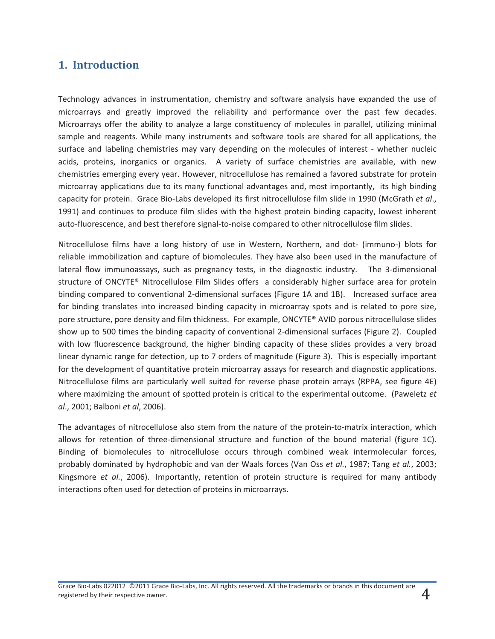# **1. Introduction**

Technology advances in instrumentation, chemistry and software analysis have expanded the use of microarrays and greatly improved the reliability and performance over the past few decades. Microarrays offer the ability to analyze a large constituency of molecules in parallel, utilizing minimal sample and reagents. While many instruments and software tools are shared for all applications, the surface and labeling chemistries may vary depending on the molecules of interest - whether nucleic acids, proteins, inorganics or organics. A variety of surface chemistries are available, with new chemistries emerging every year. However, nitrocellulose has remained a favored substrate for protein microarray applications due to its many functional advantages and, most importantly, its high binding capacity for protein. Grace Bio-Labs developed its first nitrocellulose film slide in 1990 (McGrath *et al*., 1991) and continues to produce film slides with the highest protein binding capacity, lowest inherent auto-fluorescence, and best therefore signal-to-noise compared to other nitrocellulose film slides.

Nitrocellulose films have a long history of use in Western, Northern, and dot- (immuno-) blots for reliable immobilization and capture of biomolecules. They have also been used in the manufacture of lateral flow immunoassays, such as pregnancy tests, in the diagnostic industry. The 3-dimensional structure of ONCYTE® Nitrocellulose Film Slides offers a considerably higher surface area for protein binding compared to conventional 2-dimensional surfaces (Figure 1A and 1B). Increased surface area for binding translates into increased binding capacity in microarray spots and is related to pore size, pore structure, pore density and film thickness. For example, ONCYTE® AVID porous nitrocellulose slides show up to 500 times the binding capacity of conventional 2-dimensional surfaces (Figure 2). Coupled with low fluorescence background, the higher binding capacity of these slides provides a very broad linear dynamic range for detection, up to 7 orders of magnitude (Figure 3). This is especially important for the development of quantitative protein microarray assays for research and diagnostic applications. Nitrocellulose films are particularly well suited for reverse phase protein arrays (RPPA, see figure 4E) where maximizing the amount of spotted protein is critical to the experimental outcome. (Paweletz *et al*., 2001; Balboni *et al*, 2006).

The advantages of nitrocellulose also stem from the nature of the protein-to-matrix interaction, which allows for retention of three-dimensional structure and function of the bound material (figure 1C). Binding of biomolecules to nitrocellulose occurs through combined weak intermolecular forces, probably dominated by hydrophobic and van der Waals forces (Van Oss *et al.*, 1987; Tang *et al.*, 2003; Kingsmore *et al.*, 2006). Importantly, retention of protein structure is required for many antibody interactions often used for detection of proteins in microarrays.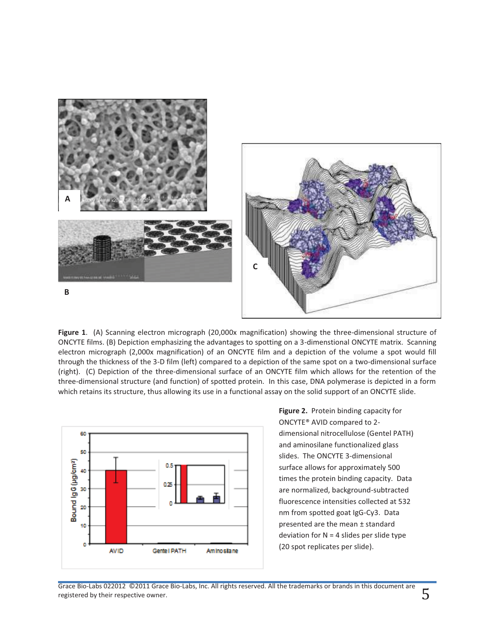

**Figure 1**. (A) Scanning electron micrograph (20,000x magnification) showing the three-dimensional structure of ONCYTE films. (B) Depiction emphasizing the advantages to spotting on a 3-dimenstional ONCYTE matrix. Scanning electron micrograph (2,000x magnification) of an ONCYTE film and a depiction of the volume a spot would fill through the thickness of the 3-D film (left) compared to a depiction of the same spot on a two-dimensional surface (right). (C) Depiction of the three-dimensional surface of an ONCYTE film which allows for the retention of the three-dimensional structure (and function) of spotted protein. In this case, DNA polymerase is depicted in a form which retains its structure, thus allowing its use in a functional assay on the solid support of an ONCYTE slide.



**Figure 2.** Protein binding capacity for ONCYTE® AVID compared to 2 dimensional nitrocellulose (Gentel PATH) and aminosilane functionalized glass slides. The ONCYTE 3-dimensional surface allows for approximately 500 times the protein binding capacity. Data are normalized, background-subtracted fluorescence intensities collected at 532 nm from spotted goat IgG-Cy3. Data presented are the mean ± standard deviation for  $N = 4$  slides per slide type (20 spot replicates per slide).

Grace Bio-Labs 022012 ©2011 Grace Bio-Labs, Inc. All rights reserved. All the trademarks or brands in this document are  $\overline{\mathsf{S}}$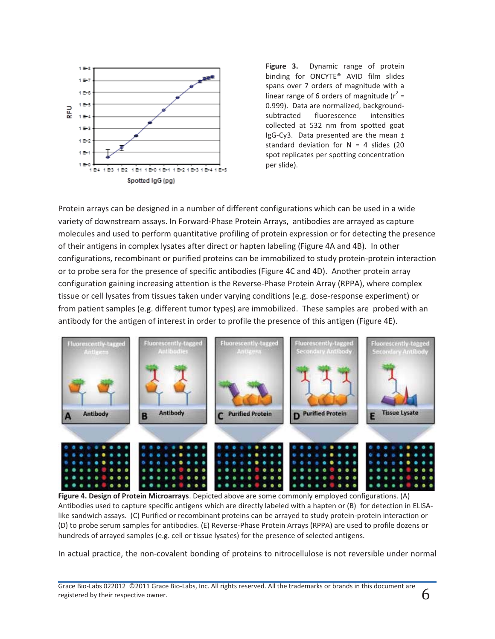

**Figure 3.** Dynamic range of protein binding for ONCYTE® AVID film slides spans over 7 orders of magnitude with a linear range of 6 orders of magnitude ( $r^2$  = 0.999). Data are normalized, backgroundsubtracted fluorescence intensities collected at 532 nm from spotted goat IgG-Cy3. Data presented are the mean  $\pm$ standard deviation for  $N = 4$  slides (20 spot replicates per spotting concentration per slide).

Protein arrays can be designed in a number of different configurations which can be used in a wide variety of downstream assays. In Forward-Phase Protein Arrays, antibodies are arrayed as capture molecules and used to perform quantitative profiling of protein expression or for detecting the presence of their antigens in complex lysates after direct or hapten labeling (Figure 4A and 4B). In other configurations, recombinant or purified proteins can be immobilized to study protein-protein interaction or to probe sera for the presence of specific antibodies (Figure 4C and 4D). Another protein array configuration gaining increasing attention is the Reverse-Phase Protein Array (RPPA), where complex tissue or cell lysates from tissues taken under varying conditions (e.g. dose-response experiment) or from patient samples (e.g. different tumor types) are immobilized. These samples are probed with an antibody for the antigen of interest in order to profile the presence of this antigen (Figure 4E).



**Figure 4. Design of Protein Microarrays**. Depicted above are some commonly employed configurations. (A) Antibodies used to capture specific antigens which are directly labeled with a hapten or (B) for detection in ELISAlike sandwich assays. (C) Purified or recombinant proteins can be arrayed to study protein-protein interaction or (D) to probe serum samples for antibodies. (E) Reverse-Phase Protein Arrays (RPPA) are used to profile dozens or hundreds of arrayed samples (e.g. cell or tissue lysates) for the presence of selected antigens.

In actual practice, the non-covalent bonding of proteins to nitrocellulose is not reversible under normal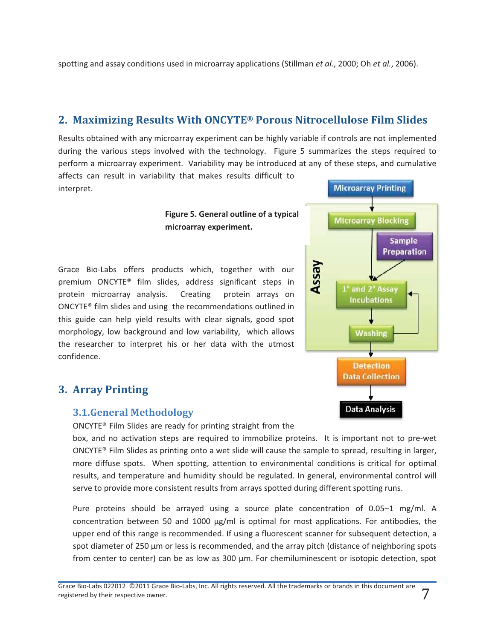spotting and assay conditions used in microarray applications (Stillman *et al.*, 2000; Oh *et al.*, 2006).

# **2. Maximizing Results With ONCYTE® Porous Nitrocellulose Film Slides**

Results obtained with any microarray experiment can be highly variable if controls are not implemented during the various steps involved with the technology. Figure 5 summarizes the steps required to perform a microarray experiment. Variability may be introduced at any of these steps, and cumulative

affects can result in variability that makes results difficult to interpret.

#### **Figure 5. General outline of a typical microarray experiment.**

Grace Bio-Labs offers products which, together with our premium ONCYTE® film slides, address significant steps in protein microarray analysis. Creating protein arrays on ONCYTE® film slides and using the recommendations outlined in this guide can help yield results with clear signals, good spot morphology, low background and low variability, which allows the researcher to interpret his or her data with the utmost confidence.

# **3. Array Printing**

## **3.1.General Methodology**

ONCYTE® Film Slides are ready for printing straight from the

box, and no activation steps are required to immobilize proteins. It is important not to pre-wet ONCYTE® Film Slides as printing onto a wet slide will cause the sample to spread, resulting in larger, more diffuse spots. When spotting, attention to environmental conditions is critical for optimal results, and temperature and humidity should be regulated. In general, environmental control will serve to provide more consistent results from arrays spotted during different spotting runs.

Pure proteins should be arrayed using a source plate concentration of 0.05–1 mg/ml. A concentration between 50 and 1000  $\mu$ g/ml is optimal for most applications. For antibodies, the upper end of this range is recommended. If using a fluorescent scanner for subsequent detection, a spot diameter of 250 μm or less is recommended, and the array pitch (distance of neighboring spots from center to center) can be as low as 300 μm. For chemiluminescent or isotopic detection, spot



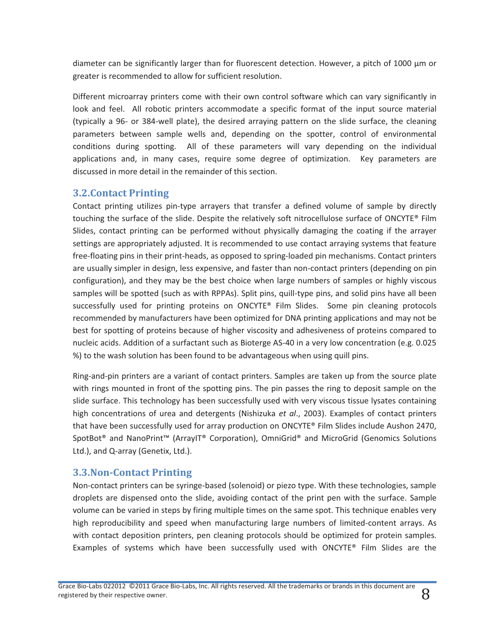diameter can be significantly larger than for fluorescent detection. However, a pitch of 1000 μm or greater is recommended to allow for sufficient resolution.

Different microarray printers come with their own control software which can vary significantly in look and feel. All robotic printers accommodate a specific format of the input source material (typically a 96- or 384-well plate), the desired arraying pattern on the slide surface, the cleaning parameters between sample wells and, depending on the spotter, control of environmental conditions during spotting. All of these parameters will vary depending on the individual applications and, in many cases, require some degree of optimization. Key parameters are discussed in more detail in the remainder of this section.

## **3.2.Contact Printing**

Contact printing utilizes pin-type arrayers that transfer a defined volume of sample by directly touching the surface of the slide. Despite the relatively soft nitrocellulose surface of ONCYTE® Film Slides, contact printing can be performed without physically damaging the coating if the arrayer settings are appropriately adjusted. It is recommended to use contact arraying systems that feature free-floating pins in their print-heads, as opposed to spring-loaded pin mechanisms. Contact printers are usually simpler in design, less expensive, and faster than non-contact printers (depending on pin configuration), and they may be the best choice when large numbers of samples or highly viscous samples will be spotted (such as with RPPAs). Split pins, quill-type pins, and solid pins have all been successfully used for printing proteins on ONCYTE® Film Slides. Some pin cleaning protocols recommended by manufacturers have been optimized for DNA printing applications and may not be best for spotting of proteins because of higher viscosity and adhesiveness of proteins compared to nucleic acids. Addition of a surfactant such as Bioterge AS-40 in a very low concentration (e.g. 0.025 %) to the wash solution has been found to be advantageous when using quill pins.

Ring-and-pin printers are a variant of contact printers. Samples are taken up from the source plate with rings mounted in front of the spotting pins. The pin passes the ring to deposit sample on the slide surface. This technology has been successfully used with very viscous tissue lysates containing high concentrations of urea and detergents (Nishizuka *et al*., 2003). Examples of contact printers that have been successfully used for array production on ONCYTE® Film Slides include Aushon 2470, SpotBot® and NanoPrint™ (ArrayIT® Corporation), OmniGrid® and MicroGrid (Genomics Solutions Ltd.), and Q-array (Genetix, Ltd.).

# **3.3.Non-Contact Printing**

Non-contact printers can be syringe-based (solenoid) or piezo type. With these technologies, sample droplets are dispensed onto the slide, avoiding contact of the print pen with the surface. Sample volume can be varied in steps by firing multiple times on the same spot. This technique enables very high reproducibility and speed when manufacturing large numbers of limited-content arrays. As with contact deposition printers, pen cleaning protocols should be optimized for protein samples. Examples of systems which have been successfully used with ONCYTE® Film Slides are the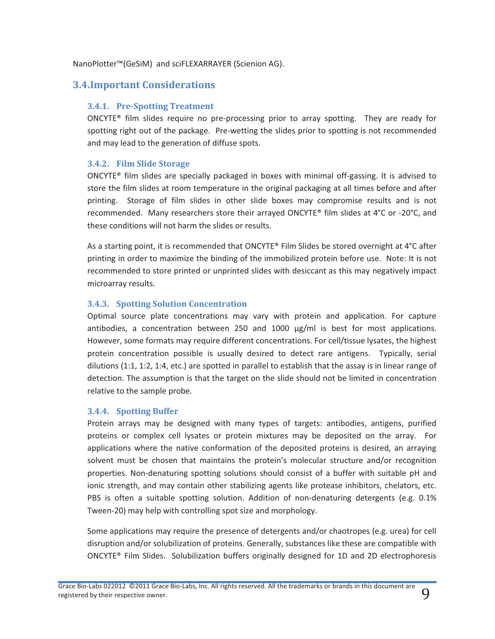NanoPlotter™(GeSiM) and sciFLEXARRAYER (Scienion AG).

# **3.4.Important Considerations**

#### **3.4.1. Pre-Spotting Treatment**

ONCYTE® film slides require no pre-processing prior to array spotting. They are ready for spotting right out of the package. Pre-wetting the slides prior to spotting is not recommended and may lead to the generation of diffuse spots.

#### **3.4.2. Film Slide Storage**

ONCYTE® film slides are specially packaged in boxes with minimal off-gassing. It is advised to store the film slides at room temperature in the original packaging at all times before and after printing. Storage of film slides in other slide boxes may compromise results and is not recommended. Many researchers store their arrayed ONCYTE® film slides at 4°C or -20°C, and these conditions will not harm the slides or results.

As a starting point, it is recommended that ONCYTE® Film Slides be stored overnight at 4°C after printing in order to maximize the binding of the immobilized protein before use. Note: It is not recommended to store printed or unprinted slides with desiccant as this may negatively impact microarray results.

#### **3.4.3. Spotting Solution Concentration**

Optimal source plate concentrations may vary with protein and application. For capture antibodies, a concentration between 250 and 1000 μg/ml is best for most applications. However, some formats may require different concentrations. For cell/tissue lysates, the highest protein concentration possible is usually desired to detect rare antigens. Typically, serial dilutions (1:1, 1:2, 1:4, etc.) are spotted in parallel to establish that the assay is in linear range of detection. The assumption is that the target on the slide should not be limited in concentration relative to the sample probe.

#### **3.4.4. Spotting Buffer**

Protein arrays may be designed with many types of targets: antibodies, antigens, purified proteins or complex cell lysates or protein mixtures may be deposited on the array. For applications where the native conformation of the deposited proteins is desired, an arraying solvent must be chosen that maintains the protein's molecular structure and/or recognition properties. Non-denaturing spotting solutions should consist of a buffer with suitable pH and ionic strength, and may contain other stabilizing agents like protease inhibitors, chelators, etc. PBS is often a suitable spotting solution. Addition of non-denaturing detergents (e.g. 0.1% Tween-20) may help with controlling spot size and morphology.

Some applications may require the presence of detergents and/or chaotropes (e.g. urea) for cell disruption and/or solubilization of proteins. Generally, substances like these are compatible with ONCYTE® Film Slides. Solubilization buffers originally designed for 1D and 2D electrophoresis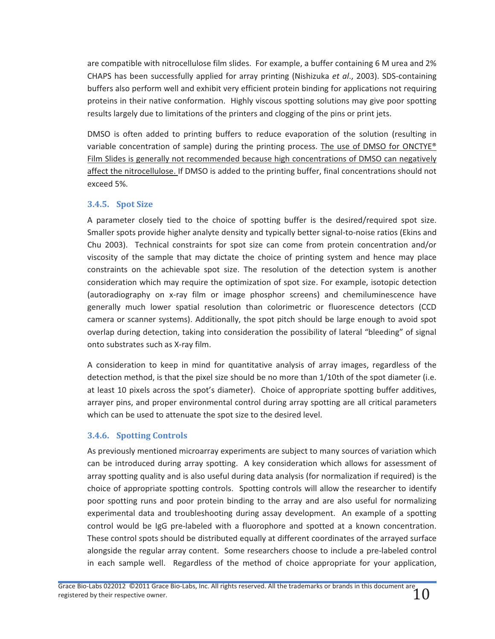are compatible with nitrocellulose film slides. For example, a buffer containing 6 M urea and 2% CHAPS has been successfully applied for array printing (Nishizuka *et al*., 2003). SDS-containing buffers also perform well and exhibit very efficient protein binding for applications not requiring proteins in their native conformation. Highly viscous spotting solutions may give poor spotting results largely due to limitations of the printers and clogging of the pins or print jets.

DMSO is often added to printing buffers to reduce evaporation of the solution (resulting in variable concentration of sample) during the printing process. The use of DMSO for ONCTYE<sup>®</sup> Film Slides is generally not recommended because high concentrations of DMSO can negatively affect the nitrocellulose. If DMSO is added to the printing buffer, final concentrations should not exceed 5%.

#### **3.4.5. Spot Size**

A parameter closely tied to the choice of spotting buffer is the desired/required spot size. Smaller spots provide higher analyte density and typically better signal-to-noise ratios (Ekins and Chu 2003). Technical constraints for spot size can come from protein concentration and/or viscosity of the sample that may dictate the choice of printing system and hence may place constraints on the achievable spot size. The resolution of the detection system is another consideration which may require the optimization of spot size. For example, isotopic detection (autoradiography on x-ray film or image phosphor screens) and chemiluminescence have generally much lower spatial resolution than colorimetric or fluorescence detectors (CCD camera or scanner systems). Additionally, the spot pitch should be large enough to avoid spot overlap during detection, taking into consideration the possibility of lateral "bleeding" of signal onto substrates such as X-ray film.

A consideration to keep in mind for quantitative analysis of array images, regardless of the detection method, is that the pixel size should be no more than 1/10th of the spot diameter (i.e. at least 10 pixels across the spot's diameter). Choice of appropriate spotting buffer additives, arrayer pins, and proper environmental control during array spotting are all critical parameters which can be used to attenuate the spot size to the desired level.

## **3.4.6. Spotting Controls**

As previously mentioned microarray experiments are subject to many sources of variation which can be introduced during array spotting. A key consideration which allows for assessment of array spotting quality and is also useful during data analysis (for normalization if required) is the choice of appropriate spotting controls. Spotting controls will allow the researcher to identify poor spotting runs and poor protein binding to the array and are also useful for normalizing experimental data and troubleshooting during assay development. An example of a spotting control would be IgG pre-labeled with a fluorophore and spotted at a known concentration. These control spots should be distributed equally at different coordinates of the arrayed surface alongside the regular array content. Some researchers choose to include a pre-labeled control in each sample well. Regardless of the method of choice appropriate for your application,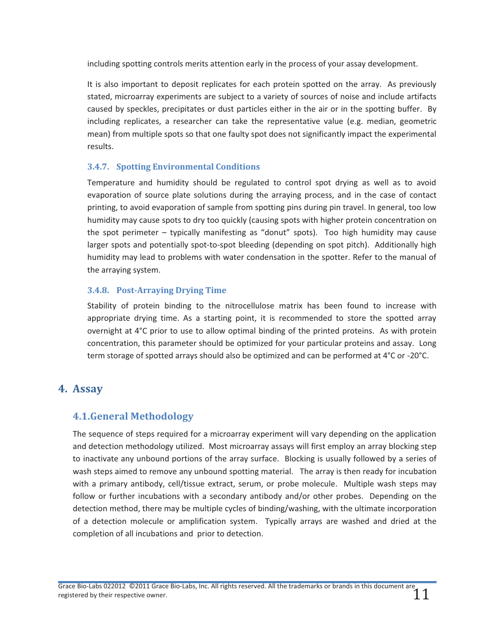including spotting controls merits attention early in the process of your assay development.

It is also important to deposit replicates for each protein spotted on the array. As previously stated, microarray experiments are subject to a variety of sources of noise and include artifacts caused by speckles, precipitates or dust particles either in the air or in the spotting buffer. By including replicates, a researcher can take the representative value (e.g. median, geometric mean) from multiple spots so that one faulty spot does not significantly impact the experimental results.

## **3.4.7. Spotting Environmental Conditions**

Temperature and humidity should be regulated to control spot drying as well as to avoid evaporation of source plate solutions during the arraying process, and in the case of contact printing, to avoid evaporation of sample from spotting pins during pin travel. In general, too low humidity may cause spots to dry too quickly (causing spots with higher protein concentration on the spot perimeter – typically manifesting as "donut" spots). Too high humidity may cause larger spots and potentially spot-to-spot bleeding (depending on spot pitch). Additionally high humidity may lead to problems with water condensation in the spotter. Refer to the manual of the arraying system.

## **3.4.8. Post-Arraying Drying Time**

Stability of protein binding to the nitrocellulose matrix has been found to increase with appropriate drying time. As a starting point, it is recommended to store the spotted array overnight at 4°C prior to use to allow optimal binding of the printed proteins. As with protein concentration, this parameter should be optimized for your particular proteins and assay. Long term storage of spotted arrays should also be optimized and can be performed at 4°C or -20°C.

# **4. Assay**

# **4.1.General Methodology**

The sequence of steps required for a microarray experiment will vary depending on the application and detection methodology utilized. Most microarray assays will first employ an array blocking step to inactivate any unbound portions of the array surface. Blocking is usually followed by a series of wash steps aimed to remove any unbound spotting material. The array is then ready for incubation with a primary antibody, cell/tissue extract, serum, or probe molecule. Multiple wash steps may follow or further incubations with a secondary antibody and/or other probes. Depending on the detection method, there may be multiple cycles of binding/washing, with the ultimate incorporation of a detection molecule or amplification system. Typically arrays are washed and dried at the completion of all incubations and prior to detection.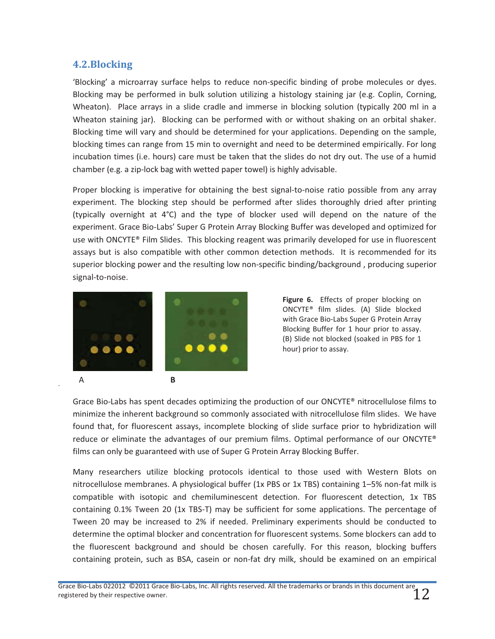## **4.2.Blocking**

.

'Blocking' a microarray surface helps to reduce non-specific binding of probe molecules or dyes. Blocking may be performed in bulk solution utilizing a histology staining jar (e.g. Coplin, Corning, Wheaton). Place arrays in a slide cradle and immerse in blocking solution (typically 200 ml in a Wheaton staining jar). Blocking can be performed with or without shaking on an orbital shaker. Blocking time will vary and should be determined for your applications. Depending on the sample, blocking times can range from 15 min to overnight and need to be determined empirically. For long incubation times (i.e. hours) care must be taken that the slides do not dry out. The use of a humid chamber (e.g. a zip-lock bag with wetted paper towel) is highly advisable.

Proper blocking is imperative for obtaining the best signal-to-noise ratio possible from any array experiment. The blocking step should be performed after slides thoroughly dried after printing (typically overnight at 4°C) and the type of blocker used will depend on the nature of the experiment. Grace Bio-Labs' Super G Protein Array Blocking Buffer was developed and optimized for use with ONCYTE® Film Slides. This blocking reagent was primarily developed for use in fluorescent assays but is also compatible with other common detection methods. It is recommended for its superior blocking power and the resulting low non-specific binding/background , producing superior signal-to-noise.



**Figure 6.** Effects of proper blocking on ONCYTE® film slides. (A) Slide blocked with Grace Bio-Labs Super G Protein Array Blocking Buffer for 1 hour prior to assay. (B) Slide not blocked (soaked in PBS for 1 hour) prior to assay.

Grace Bio-Labs has spent decades optimizing the production of our ONCYTE® nitrocellulose films to minimize the inherent background so commonly associated with nitrocellulose film slides. We have found that, for fluorescent assays, incomplete blocking of slide surface prior to hybridization will reduce or eliminate the advantages of our premium films. Optimal performance of our ONCYTE® films can only be guaranteed with use of Super G Protein Array Blocking Buffer.

Many researchers utilize blocking protocols identical to those used with Western Blots on nitrocellulose membranes. A physiological buffer (1x PBS or 1x TBS) containing 1–5% non-fat milk is compatible with isotopic and chemiluminescent detection. For fluorescent detection, 1x TBS containing 0.1% Tween 20 (1x TBS-T) may be sufficient for some applications. The percentage of Tween 20 may be increased to 2% if needed. Preliminary experiments should be conducted to determine the optimal blocker and concentration for fluorescent systems. Some blockers can add to the fluorescent background and should be chosen carefully. For this reason, blocking buffers containing protein, such as BSA, casein or non-fat dry milk, should be examined on an empirical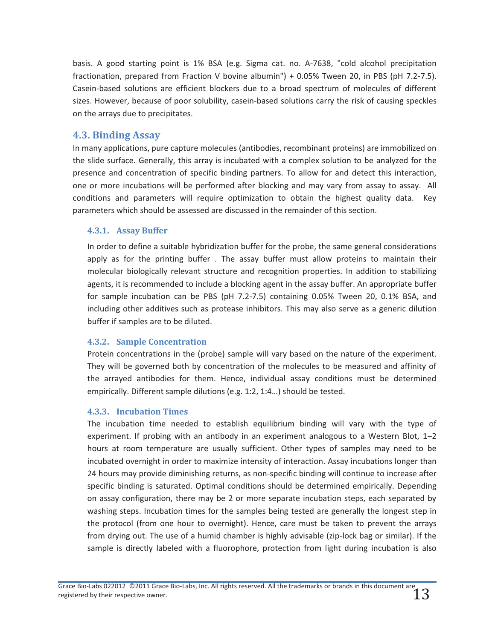basis. A good starting point is 1% BSA (e.g. Sigma cat. no. A-7638, "cold alcohol precipitation fractionation, prepared from Fraction V bovine albumin") + 0.05% Tween 20, in PBS (pH 7.2-7.5). Casein-based solutions are efficient blockers due to a broad spectrum of molecules of different sizes. However, because of poor solubility, casein-based solutions carry the risk of causing speckles on the arrays due to precipitates.

## **4.3. Binding Assay**

In many applications, pure capture molecules (antibodies, recombinant proteins) are immobilized on the slide surface. Generally, this array is incubated with a complex solution to be analyzed for the presence and concentration of specific binding partners. To allow for and detect this interaction, one or more incubations will be performed after blocking and may vary from assay to assay. All conditions and parameters will require optimization to obtain the highest quality data. Key parameters which should be assessed are discussed in the remainder of this section.

#### **4.3.1. Assay Buffer**

In order to define a suitable hybridization buffer for the probe, the same general considerations apply as for the printing buffer . The assay buffer must allow proteins to maintain their molecular biologically relevant structure and recognition properties. In addition to stabilizing agents, it is recommended to include a blocking agent in the assay buffer. An appropriate buffer for sample incubation can be PBS (pH 7.2-7.5) containing 0.05% Tween 20, 0.1% BSA, and including other additives such as protease inhibitors. This may also serve as a generic dilution buffer if samples are to be diluted.

#### **4.3.2. Sample Concentration**

Protein concentrations in the (probe) sample will vary based on the nature of the experiment. They will be governed both by concentration of the molecules to be measured and affinity of the arrayed antibodies for them. Hence, individual assay conditions must be determined empirically. Different sample dilutions (e.g. 1:2, 1:4…) should be tested.

#### **4.3.3. Incubation Times**

The incubation time needed to establish equilibrium binding will vary with the type of experiment. If probing with an antibody in an experiment analogous to a Western Blot, 1–2 hours at room temperature are usually sufficient. Other types of samples may need to be incubated overnight in order to maximize intensity of interaction. Assay incubations longer than 24 hours may provide diminishing returns, as non-specific binding will continue to increase after specific binding is saturated. Optimal conditions should be determined empirically. Depending on assay configuration, there may be 2 or more separate incubation steps, each separated by washing steps. Incubation times for the samples being tested are generally the longest step in the protocol (from one hour to overnight). Hence, care must be taken to prevent the arrays from drying out. The use of a humid chamber is highly advisable (zip-lock bag or similar). If the sample is directly labeled with a fluorophore, protection from light during incubation is also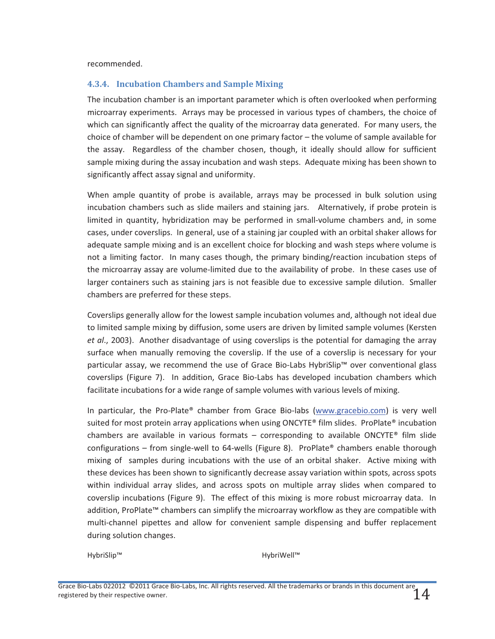recommended.

#### **4.3.4. Incubation Chambers and Sample Mixing**

The incubation chamber is an important parameter which is often overlooked when performing microarray experiments. Arrays may be processed in various types of chambers, the choice of which can significantly affect the quality of the microarray data generated. For many users, the choice of chamber will be dependent on one primary factor – the volume of sample available for the assay. Regardless of the chamber chosen, though, it ideally should allow for sufficient sample mixing during the assay incubation and wash steps. Adequate mixing has been shown to significantly affect assay signal and uniformity.

When ample quantity of probe is available, arrays may be processed in bulk solution using incubation chambers such as slide mailers and staining jars. Alternatively, if probe protein is limited in quantity, hybridization may be performed in small-volume chambers and, in some cases, under coverslips. In general, use of a staining jar coupled with an orbital shaker allows for adequate sample mixing and is an excellent choice for blocking and wash steps where volume is not a limiting factor. In many cases though, the primary binding/reaction incubation steps of the microarray assay are volume-limited due to the availability of probe. In these cases use of larger containers such as staining jars is not feasible due to excessive sample dilution. Smaller chambers are preferred for these steps.

Coverslips generally allow for the lowest sample incubation volumes and, although not ideal due to limited sample mixing by diffusion, some users are driven by limited sample volumes (Kersten *et al*., 2003). Another disadvantage of using coverslips is the potential for damaging the array surface when manually removing the coverslip. If the use of a coverslip is necessary for your particular assay, we recommend the use of Grace Bio-Labs HybriSlip™ over conventional glass coverslips (Figure 7). In addition, Grace Bio-Labs has developed incubation chambers which facilitate incubations for a wide range of sample volumes with various levels of mixing.

In particular, the Pro-Plate® chamber from Grace Bio-labs (www.gracebio.com) is very well suited for most protein array applications when using ONCYTE® film slides. ProPlate® incubation chambers are available in various formats – corresponding to available ONCYTE<sup>®</sup> film slide configurations – from single-well to 64-wells (Figure 8). ProPlate® chambers enable thorough mixing of samples during incubations with the use of an orbital shaker. Active mixing with these devices has been shown to significantly decrease assay variation within spots, across spots within individual array slides, and across spots on multiple array slides when compared to coverslip incubations (Figure 9). The effect of this mixing is more robust microarray data. In addition, ProPlate™ chambers can simplify the microarray workflow as they are compatible with multi-channel pipettes and allow for convenient sample dispensing and buffer replacement during solution changes.

HybriSlip™ HybriWell™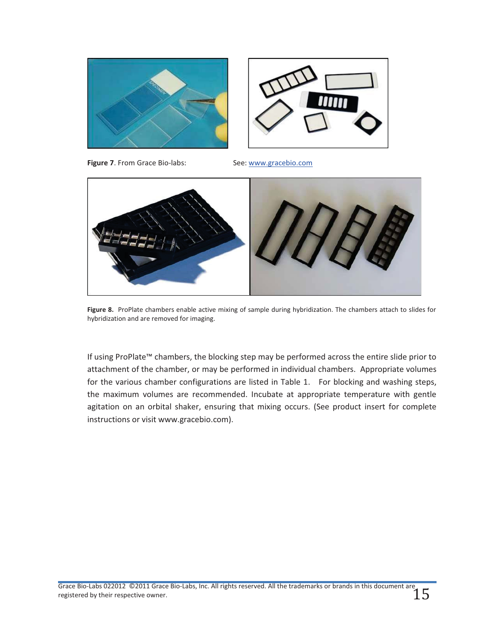



**Figure 7**. From Grace Bio-labs: See: www.gracebio.com



**Figure 8.** ProPlate chambers enable active mixing of sample during hybridization. The chambers attach to slides for hybridization and are removed for imaging.

If using ProPlate™ chambers, the blocking step may be performed across the entire slide prior to attachment of the chamber, or may be performed in individual chambers. Appropriate volumes for the various chamber configurations are listed in Table 1. For blocking and washing steps, the maximum volumes are recommended. Incubate at appropriate temperature with gentle agitation on an orbital shaker, ensuring that mixing occurs. (See product insert for complete instructions or visit www.gracebio.com).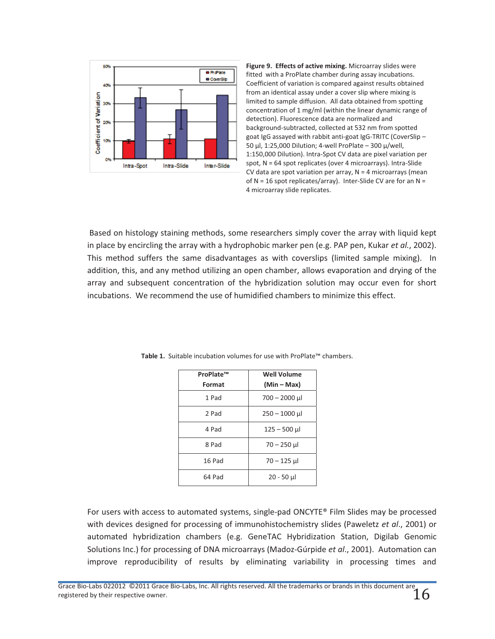

**Figure 9. Effects of active mixing.** Microarray slides were fitted with a ProPlate chamber during assay incubations. Coefficient of variation is compared against results obtained from an identical assay under a cover slip where mixing is limited to sample diffusion. All data obtained from spotting concentration of 1 mg/ml (within the linear dynamic range of detection). Fluorescence data are normalized and background-subtracted, collected at 532 nm from spotted goat IgG assayed with rabbit anti-goat IgG-TRITC (CoverSlip – 50 μl, 1:25,000 Dilution; 4-well ProPlate – 300 μ/well, 1:150,000 Dilution). Intra-Spot CV data are pixel variation per spot, N = 64 spot replicates (over 4 microarrays). Intra-Slide CV data are spot variation per array,  $N = 4$  microarrays (mean of  $N = 16$  spot replicates/array). Inter-Slide CV are for an  $N =$ 4 microarray slide replicates.

 Based on histology staining methods, some researchers simply cover the array with liquid kept in place by encircling the array with a hydrophobic marker pen (e.g. PAP pen, Kukar *et al.*, 2002). This method suffers the same disadvantages as with coverslips (limited sample mixing). In addition, this, and any method utilizing an open chamber, allows evaporation and drying of the array and subsequent concentration of the hybridization solution may occur even for short incubations. We recommend the use of humidified chambers to minimize this effect.

| ProPlate™ | <b>Well Volume</b> |  |
|-----------|--------------------|--|
| Format    | $(Min-Max)$        |  |
| 1 Pad     | 700 - 2000 µl      |  |
| 2 Pad     | $250 - 1000$ µ     |  |
| 4 Pad     | $125 - 500$ µ      |  |
| 8 Pad     | $70 - 250$ µ       |  |
| 16 Pad    | $70 - 125$ µ       |  |
| 64 Pad    | 20 - 50 µl         |  |

**Table 1.** Suitable incubation volumes for use with ProPlate™ chambers.

For users with access to automated systems, single-pad ONCYTE® Film Slides may be processed with devices designed for processing of immunohistochemistry slides (Paweletz *et al*., 2001) or automated hybridization chambers (e.g. GeneTAC Hybridization Station, Digilab Genomic Solutions Inc.) for processing of DNA microarrays (Madoz-Gúrpide *et al*., 2001). Automation can improve reproducibility of results by eliminating variability in processing times and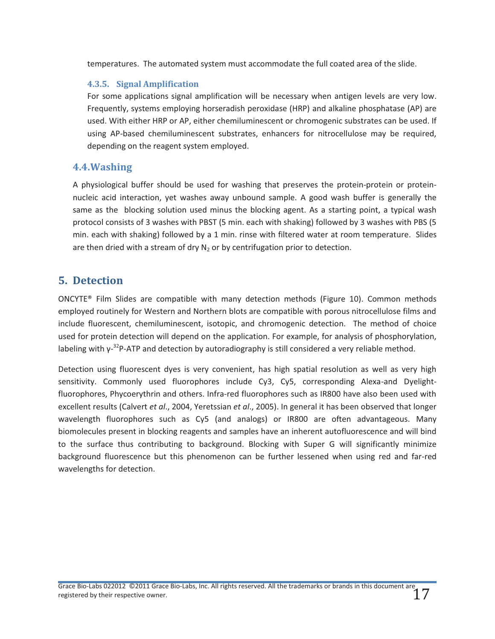temperatures. The automated system must accommodate the full coated area of the slide.

#### **4.3.5. Signal Amplification**

For some applications signal amplification will be necessary when antigen levels are very low. Frequently, systems employing horseradish peroxidase (HRP) and alkaline phosphatase (AP) are used. With either HRP or AP, either chemiluminescent or chromogenic substrates can be used. If using AP-based chemiluminescent substrates, enhancers for nitrocellulose may be required, depending on the reagent system employed.

## **4.4.Washing**

A physiological buffer should be used for washing that preserves the protein-protein or proteinnucleic acid interaction, yet washes away unbound sample. A good wash buffer is generally the same as the blocking solution used minus the blocking agent. As a starting point, a typical wash protocol consists of 3 washes with PBST (5 min. each with shaking) followed by 3 washes with PBS (5 min. each with shaking) followed by a 1 min. rinse with filtered water at room temperature. Slides are then dried with a stream of dry  $N_2$  or by centrifugation prior to detection.

# **5. Detection**

ONCYTE® Film Slides are compatible with many detection methods (Figure 10). Common methods employed routinely for Western and Northern blots are compatible with porous nitrocellulose films and include fluorescent, chemiluminescent, isotopic, and chromogenic detection. The method of choice used for protein detection will depend on the application. For example, for analysis of phosphorylation, labeling with  $y^{-32}P$ -ATP and detection by autoradiography is still considered a very reliable method.

Detection using fluorescent dyes is very convenient, has high spatial resolution as well as very high sensitivity. Commonly used fluorophores include Cy3, Cy5, corresponding Alexa-and Dyelightfluorophores, Phycoerythrin and others. Infra-red fluorophores such as IR800 have also been used with excellent results (Calvert *et al*., 2004, Yeretssian *et al*., 2005). In general it has been observed that longer wavelength fluorophores such as Cy5 (and analogs) or IR800 are often advantageous. Many biomolecules present in blocking reagents and samples have an inherent autofluorescence and will bind to the surface thus contributing to background. Blocking with Super G will significantly minimize background fluorescence but this phenomenon can be further lessened when using red and far-red wavelengths for detection.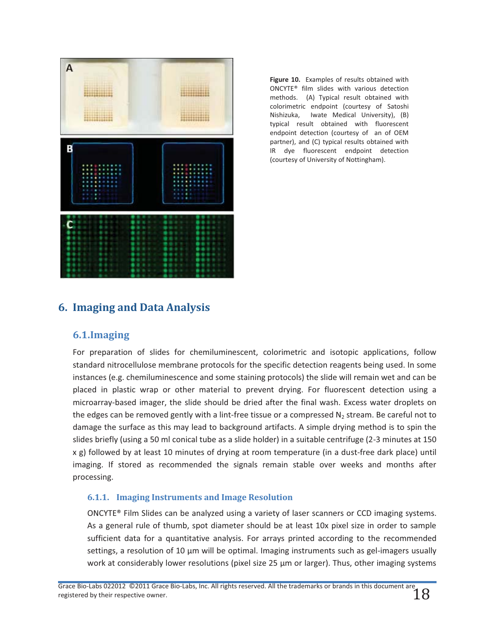

**Figure 10.** Examples of results obtained with ONCYTE® film slides with various detection methods. (A) Typical result obtained with colorimetric endpoint (courtesy of Satoshi Nishizuka, Iwate Medical University), (B) typical result obtained with fluorescent endpoint detection (courtesy of an of OEM partner), and (C) typical results obtained with IR dye fluorescent endpoint detection (courtesy of University of Nottingham).

# **6. Imaging and Data Analysis**

## **6.1.Imaging**

For preparation of slides for chemiluminescent, colorimetric and isotopic applications, follow standard nitrocellulose membrane protocols for the specific detection reagents being used. In some instances (e.g. chemiluminescence and some staining protocols) the slide will remain wet and can be placed in plastic wrap or other material to prevent drying. For fluorescent detection using a microarray-based imager, the slide should be dried after the final wash. Excess water droplets on the edges can be removed gently with a lint-free tissue or a compressed  $N<sub>2</sub>$  stream. Be careful not to damage the surface as this may lead to background artifacts. A simple drying method is to spin the slides briefly (using a 50 ml conical tube as a slide holder) in a suitable centrifuge (2-3 minutes at 150 x g) followed by at least 10 minutes of drying at room temperature (in a dust-free dark place) until imaging. If stored as recommended the signals remain stable over weeks and months after processing.

#### **6.1.1. Imaging Instruments and Image Resolution**

ONCYTE® Film Slides can be analyzed using a variety of laser scanners or CCD imaging systems. As a general rule of thumb, spot diameter should be at least 10x pixel size in order to sample sufficient data for a quantitative analysis. For arrays printed according to the recommended settings, a resolution of 10 μm will be optimal. Imaging instruments such as gel-imagers usually work at considerably lower resolutions (pixel size 25 μm or larger). Thus, other imaging systems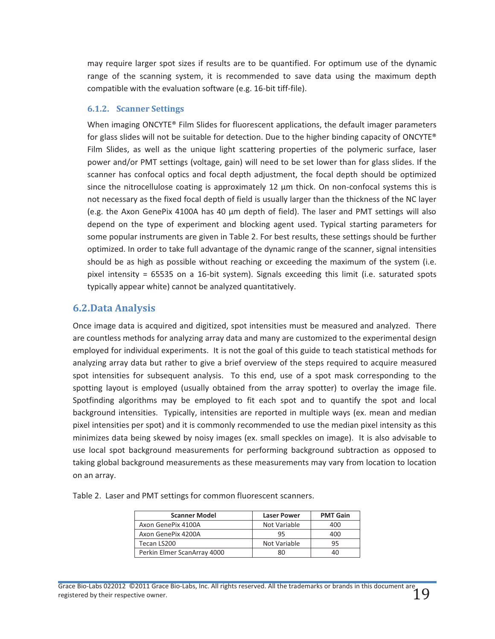may require larger spot sizes if results are to be quantified. For optimum use of the dynamic range of the scanning system, it is recommended to save data using the maximum depth compatible with the evaluation software (e.g. 16-bit tiff-file).

#### **6.1.2. Scanner Settings**

When imaging ONCYTE® Film Slides for fluorescent applications, the default imager parameters for glass slides will not be suitable for detection. Due to the higher binding capacity of ONCYTE® Film Slides, as well as the unique light scattering properties of the polymeric surface, laser power and/or PMT settings (voltage, gain) will need to be set lower than for glass slides. If the scanner has confocal optics and focal depth adjustment, the focal depth should be optimized since the nitrocellulose coating is approximately 12  $\mu$ m thick. On non-confocal systems this is not necessary as the fixed focal depth of field is usually larger than the thickness of the NC layer (e.g. the Axon GenePix 4100A has 40 μm depth of field). The laser and PMT settings will also depend on the type of experiment and blocking agent used. Typical starting parameters for some popular instruments are given in Table 2. For best results, these settings should be further optimized. In order to take full advantage of the dynamic range of the scanner, signal intensities should be as high as possible without reaching or exceeding the maximum of the system (i.e. pixel intensity = 65535 on a 16-bit system). Signals exceeding this limit (i.e. saturated spots typically appear white) cannot be analyzed quantitatively.

# **6.2.Data Analysis**

Once image data is acquired and digitized, spot intensities must be measured and analyzed. There are countless methods for analyzing array data and many are customized to the experimental design employed for individual experiments. It is not the goal of this guide to teach statistical methods for analyzing array data but rather to give a brief overview of the steps required to acquire measured spot intensities for subsequent analysis. To this end, use of a spot mask corresponding to the spotting layout is employed (usually obtained from the array spotter) to overlay the image file. Spotfinding algorithms may be employed to fit each spot and to quantify the spot and local background intensities. Typically, intensities are reported in multiple ways (ex. mean and median pixel intensities per spot) and it is commonly recommended to use the median pixel intensity as this minimizes data being skewed by noisy images (ex. small speckles on image). It is also advisable to use local spot background measurements for performing background subtraction as opposed to taking global background measurements as these measurements may vary from location to location on an array.

Table 2. Laser and PMT settings for common fluorescent scanners.

| <b>Scanner Model</b>        | <b>Laser Power</b> | <b>PMT Gain</b> |
|-----------------------------|--------------------|-----------------|
| Axon GenePix 4100A          | Not Variable       | 400             |
| Axon GenePix 4200A          | 95                 | 400             |
| Tecan LS200                 | Not Variable       | 95              |
| Perkin Elmer ScanArray 4000 | 80                 | 40              |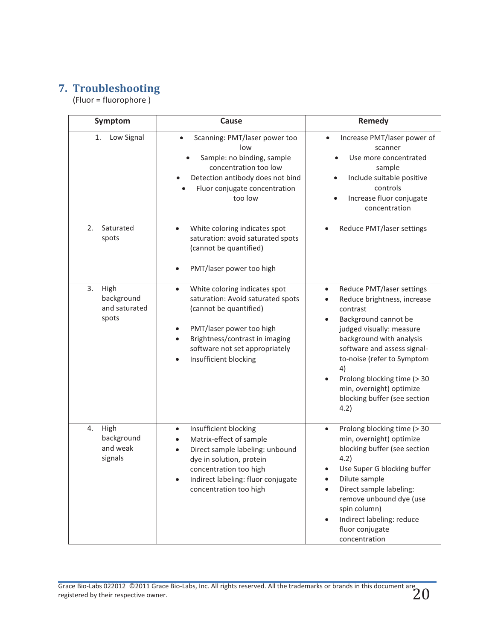# **7. Troubleshooting**

(Fluor = fluorophore )

| Symptom                                            | Cause                                                                                                                                                                                                                                                                     | Remedy                                                                                                                                                                                                                                                                                                                                               |
|----------------------------------------------------|---------------------------------------------------------------------------------------------------------------------------------------------------------------------------------------------------------------------------------------------------------------------------|------------------------------------------------------------------------------------------------------------------------------------------------------------------------------------------------------------------------------------------------------------------------------------------------------------------------------------------------------|
| 1.<br>Low Signal                                   | Scanning: PMT/laser power too<br>low<br>Sample: no binding, sample<br>concentration too low<br>Detection antibody does not bind<br>Fluor conjugate concentration<br>too low                                                                                               | Increase PMT/laser power of<br>scanner<br>Use more concentrated<br>sample<br>Include suitable positive<br>$\bullet$<br>controls<br>Increase fluor conjugate<br>concentration                                                                                                                                                                         |
| 2.<br>Saturated<br>spots                           | White coloring indicates spot<br>$\bullet$<br>saturation: avoid saturated spots<br>(cannot be quantified)<br>PMT/laser power too high                                                                                                                                     | Reduce PMT/laser settings<br>$\bullet$                                                                                                                                                                                                                                                                                                               |
| 3.<br>High<br>background<br>and saturated<br>spots | White coloring indicates spot<br>$\bullet$<br>saturation: Avoid saturated spots<br>(cannot be quantified)<br>PMT/laser power too high<br>$\bullet$<br>Brightness/contrast in imaging<br>$\bullet$<br>software not set appropriately<br>Insufficient blocking<br>$\bullet$ | Reduce PMT/laser settings<br>$\bullet$<br>Reduce brightness, increase<br>contrast<br>Background cannot be<br>$\bullet$<br>judged visually: measure<br>background with analysis<br>software and assess signal-<br>to-noise (refer to Symptom<br>4)<br>Prolong blocking time (> 30<br>min, overnight) optimize<br>blocking buffer (see section<br>4.2) |
| High<br>4.<br>background<br>and weak<br>signals    | Insufficient blocking<br>$\bullet$<br>Matrix-effect of sample<br>$\bullet$<br>Direct sample labeling: unbound<br>$\bullet$<br>dye in solution, protein<br>concentration too high<br>Indirect labeling: fluor conjugate<br>concentration too high                          | Prolong blocking time (> 30<br>$\bullet$<br>min, overnight) optimize<br>blocking buffer (see section<br>4.2)<br>Use Super G blocking buffer<br>Dilute sample<br>Direct sample labeling:<br>remove unbound dye (use<br>spin column)<br>Indirect labeling: reduce<br>$\bullet$<br>fluor conjugate<br>concentration                                     |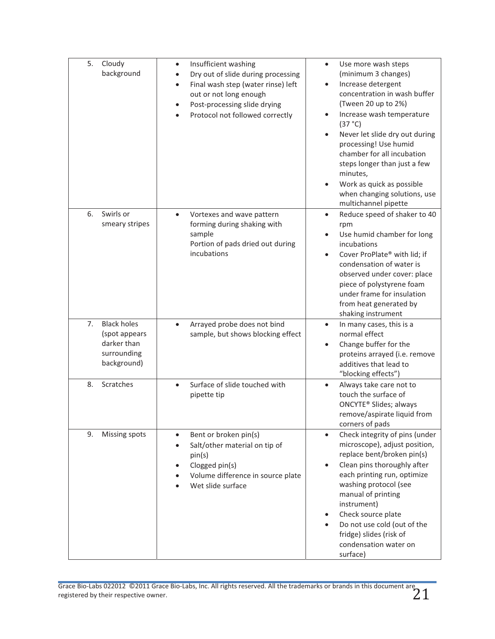| 5.<br>Cloudy<br>background                                                             | Insufficient washing<br>$\bullet$<br>Dry out of slide during processing<br>$\bullet$<br>Final wash step (water rinse) left<br>$\bullet$<br>out or not long enough<br>Post-processing slide drying<br>$\bullet$<br>Protocol not followed correctly | Use more wash steps<br>$\bullet$<br>(minimum 3 changes)<br>Increase detergent<br>$\bullet$<br>concentration in wash buffer<br>(Tween 20 up to 2%)<br>Increase wash temperature<br>(37 °C)<br>Never let slide dry out during<br>$\bullet$<br>processing! Use humid<br>chamber for all incubation<br>steps longer than just a few<br>minutes,<br>Work as quick as possible<br>$\bullet$<br>when changing solutions, use<br>multichannel pipette |
|----------------------------------------------------------------------------------------|---------------------------------------------------------------------------------------------------------------------------------------------------------------------------------------------------------------------------------------------------|-----------------------------------------------------------------------------------------------------------------------------------------------------------------------------------------------------------------------------------------------------------------------------------------------------------------------------------------------------------------------------------------------------------------------------------------------|
| Swirls or<br>6.<br>smeary stripes                                                      | Vortexes and wave pattern<br>$\bullet$<br>forming during shaking with<br>sample<br>Portion of pads dried out during<br>incubations                                                                                                                | Reduce speed of shaker to 40<br>$\bullet$<br>rpm<br>Use humid chamber for long<br>$\bullet$<br>incubations<br>Cover ProPlate® with lid; if<br>$\bullet$<br>condensation of water is<br>observed under cover: place<br>piece of polystyrene foam<br>under frame for insulation<br>from heat generated by<br>shaking instrument                                                                                                                 |
| 7.<br><b>Black holes</b><br>(spot appears<br>darker than<br>surrounding<br>background) | Arrayed probe does not bind<br>$\bullet$<br>sample, but shows blocking effect                                                                                                                                                                     | In many cases, this is a<br>$\bullet$<br>normal effect<br>Change buffer for the<br>$\bullet$<br>proteins arrayed (i.e. remove<br>additives that lead to<br>"blocking effects")                                                                                                                                                                                                                                                                |
| Scratches<br>8.                                                                        | Surface of slide touched with<br>$\bullet$<br>pipette tip                                                                                                                                                                                         | Always take care not to<br>$\bullet$<br>touch the surface of<br>ONCYTE <sup>®</sup> Slides; always<br>remove/aspirate liquid from<br>corners of pads                                                                                                                                                                                                                                                                                          |
| 9.<br>Missing spots                                                                    | Bent or broken pin(s)<br>$\bullet$<br>Salt/other material on tip of<br>$\bullet$<br>pin(s)<br>Clogged pin(s)<br>$\bullet$<br>Volume difference in source plate<br>Wet slide surface                                                               | Check integrity of pins (under<br>$\bullet$<br>microscope), adjust position,<br>replace bent/broken pin(s)<br>Clean pins thoroughly after<br>$\bullet$<br>each printing run, optimize<br>washing protocol (see<br>manual of printing<br>instrument)<br>Check source plate<br>$\bullet$<br>Do not use cold (out of the<br>$\bullet$<br>fridge) slides (risk of<br>condensation water on<br>surface)                                            |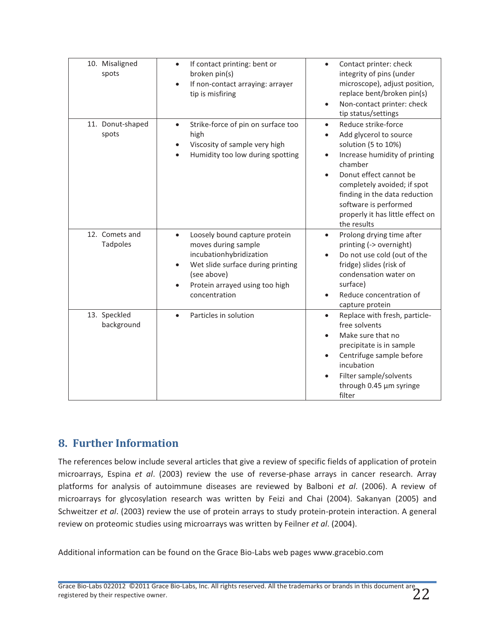| 10. Misaligned<br>spots           | If contact printing: bent or<br>$\bullet$<br>broken pin(s)<br>If non-contact arraying: arrayer<br>tip is misfiring                                                                                               | Contact printer: check<br>$\bullet$<br>integrity of pins (under<br>microscope), adjust position,<br>replace bent/broken pin(s)<br>Non-contact printer: check<br>tip status/settings                                                                                                                              |
|-----------------------------------|------------------------------------------------------------------------------------------------------------------------------------------------------------------------------------------------------------------|------------------------------------------------------------------------------------------------------------------------------------------------------------------------------------------------------------------------------------------------------------------------------------------------------------------|
| 11. Donut-shaped<br>spots         | Strike-force of pin on surface too<br>$\bullet$<br>high<br>Viscosity of sample very high<br>Humidity too low during spotting                                                                                     | Reduce strike-force<br>$\bullet$<br>Add glycerol to source<br>solution (5 to 10%)<br>Increase humidity of printing<br>$\bullet$<br>chamber<br>Donut effect cannot be<br>completely avoided; if spot<br>finding in the data reduction<br>software is performed<br>properly it has little effect on<br>the results |
| 12. Comets and<br><b>Tadpoles</b> | Loosely bound capture protein<br>$\bullet$<br>moves during sample<br>incubationhybridization<br>Wet slide surface during printing<br>$\bullet$<br>(see above)<br>Protein arrayed using too high<br>concentration | Prolong drying time after<br>$\bullet$<br>printing (-> overnight)<br>Do not use cold (out of the<br>$\bullet$<br>fridge) slides (risk of<br>condensation water on<br>surface)<br>Reduce concentration of<br>capture protein                                                                                      |
| 13. Speckled<br>background        | Particles in solution<br>$\bullet$                                                                                                                                                                               | Replace with fresh, particle-<br>$\bullet$<br>free solvents<br>Make sure that no<br>precipitate is in sample<br>Centrifuge sample before<br>$\bullet$<br>incubation<br>Filter sample/solvents<br>through 0.45 µm syringe<br>filter                                                                               |

# **8. Further Information**

The references below include several articles that give a review of specific fields of application of protein microarrays, Espina *et al*. (2003) review the use of reverse-phase arrays in cancer research. Array platforms for analysis of autoimmune diseases are reviewed by Balboni *et al*. (2006). A review of microarrays for glycosylation research was written by Feizi and Chai (2004). Sakanyan (2005) and Schweitzer *et al*. (2003) review the use of protein arrays to study protein-protein interaction. A general review on proteomic studies using microarrays was written by Feilner *et al*. (2004).

Additional information can be found on the Grace Bio-Labs web pages www.gracebio.com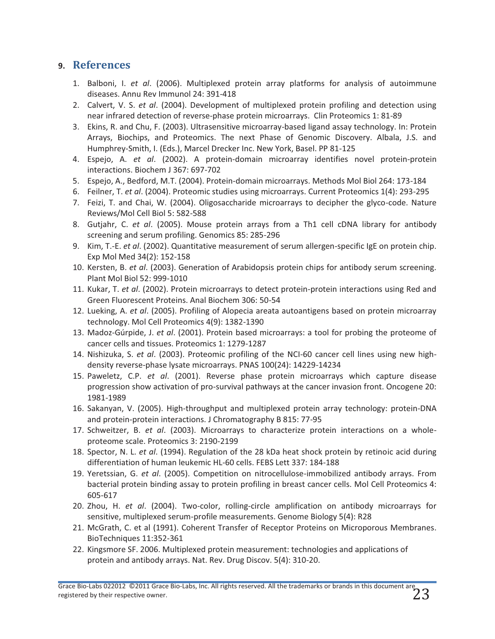# **9. References**

- 1. Balboni, I. *et al*. (2006). Multiplexed protein array platforms for analysis of autoimmune diseases. Annu Rev Immunol 24: 391-418
- 2. Calvert, V. S. *et al*. (2004). Development of multiplexed protein profiling and detection using near infrared detection of reverse-phase protein microarrays. Clin Proteomics 1: 81-89
- 3. Ekins, R. and Chu, F. (2003). Ultrasensitive microarray-based ligand assay technology. In: Protein Arrays, Biochips, and Proteomics. The next Phase of Genomic Discovery. Albala, J.S. and Humphrey-Smith, I. (Eds.), Marcel Drecker Inc. New York, Basel. PP 81-125
- 4. Espejo, A. *et al*. (2002). A protein-domain microarray identifies novel protein-protein interactions. Biochem J 367: 697-702
- 5. Espejo, A., Bedford, M.T. (2004). Protein-domain microarrays. Methods Mol Biol 264: 173-184
- 6. Feilner, T. *et al*. (2004). Proteomic studies using microarrays. Current Proteomics 1(4): 293-295
- 7. Feizi, T. and Chai, W. (2004). Oligosaccharide microarrays to decipher the glyco-code. Nature Reviews/Mol Cell Biol 5: 582-588
- 8. Gutjahr, C. *et al*. (2005). Mouse protein arrays from a Th1 cell cDNA library for antibody screening and serum profiling. Genomics 85: 285-296
- 9. Kim, T.-E. *et al*. (2002). Quantitative measurement of serum allergen-specific IgE on protein chip. Exp Mol Med 34(2): 152-158
- 10. Kersten, B. *et al*. (2003). Generation of Arabidopsis protein chips for antibody serum screening. Plant Mol Biol 52: 999-1010
- 11. Kukar, T. *et al*. (2002). Protein microarrays to detect protein-protein interactions using Red and Green Fluorescent Proteins. Anal Biochem 306: 50-54
- 12. Lueking, A. *et al*. (2005). Profiling of Alopecia areata autoantigens based on protein microarray technology. Mol Cell Proteomics 4(9): 1382-1390
- 13. Madoz-Gúrpide, J. *et al*. (2001). Protein based microarrays: a tool for probing the proteome of cancer cells and tissues. Proteomics 1: 1279-1287
- 14. Nishizuka, S. *et al*. (2003). Proteomic profiling of the NCI-60 cancer cell lines using new highdensity reverse-phase lysate microarrays. PNAS 100(24): 14229-14234
- 15. Paweletz, C.P. *et al*. (2001). Reverse phase protein microarrays which capture disease progression show activation of pro-survival pathways at the cancer invasion front. Oncogene 20: 1981-1989
- 16. Sakanyan, V. (2005). High-throughput and multiplexed protein array technology: protein-DNA and protein-protein interactions. J Chromatography B 815: 77-95
- 17. Schweitzer, B. *et al*. (2003). Microarrays to characterize protein interactions on a wholeproteome scale. Proteomics 3: 2190-2199
- 18. Spector, N. L. *et al*. (1994). Regulation of the 28 kDa heat shock protein by retinoic acid during differentiation of human leukemic HL-60 cells. FEBS Lett 337: 184-188
- 19. Yeretssian, G. *et al*. (2005). Competition on nitrocellulose-immobilized antibody arrays. From bacterial protein binding assay to protein profiling in breast cancer cells. Mol Cell Proteomics 4: 605-617
- 20. Zhou, H. *et al*. (2004). Two-color, rolling-circle amplification on antibody microarrays for sensitive, multiplexed serum-profile measurements. Genome Biology 5(4): R28
- 21. McGrath, C. et al (1991). Coherent Transfer of Receptor Proteins on Microporous Membranes. BioTechniques 11:352-361
- 22. Kingsmore SF. 2006. Multiplexed protein measurement: technologies and applications of protein and antibody arrays. Nat. Rev. Drug Discov. 5(4): 310-20.